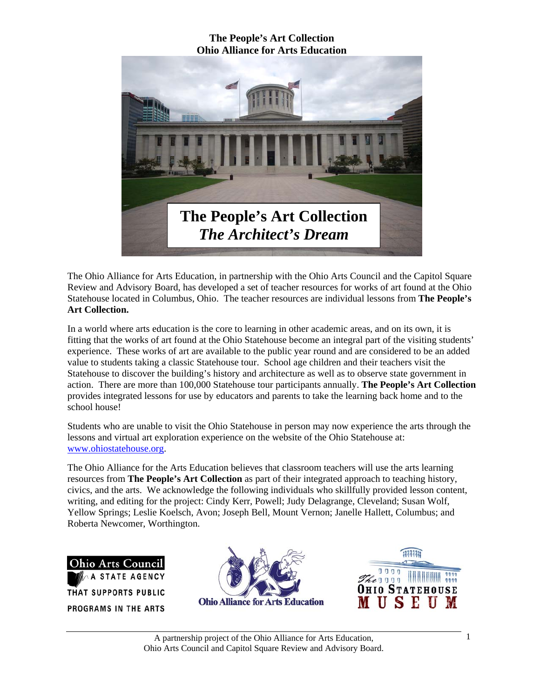

The Ohio Alliance for Arts Education, in partnership with the Ohio Arts Council and the Capitol Square Review and Advisory Board, has developed a set of teacher resources for works of art found at the Ohio Statehouse located in Columbus, Ohio. The teacher resources are individual lessons from **The People's Art Collection.** 

In a world where arts education is the core to learning in other academic areas, and on its own, it is fitting that the works of art found at the Ohio Statehouse become an integral part of the visiting students' experience. These works of art are available to the public year round and are considered to be an added value to students taking a classic Statehouse tour. School age children and their teachers visit the Statehouse to discover the building's history and architecture as well as to observe state government in action. There are more than 100,000 Statehouse tour participants annually. **The People's Art Collection** provides integrated lessons for use by educators and parents to take the learning back home and to the school house!

Students who are unable to visit the Ohio Statehouse in person may now experience the arts through the lessons and virtual art exploration experience on the website of the Ohio Statehouse at: www.ohiostatehouse.org.

The Ohio Alliance for the Arts Education believes that classroom teachers will use the arts learning resources from **The People's Art Collection** as part of their integrated approach to teaching history, civics, and the arts. We acknowledge the following individuals who skillfully provided lesson content, writing, and editing for the project: Cindy Kerr, Powell; Judy Delagrange, Cleveland; Susan Wolf, Yellow Springs; Leslie Koelsch, Avon; Joseph Bell, Mount Vernon; Janelle Hallett, Columbus; and Roberta Newcomer, Worthington.

**Ohio Arts Council STATE AGENCY** THAT SUPPORTS PUBLIC PROGRAMS IN THE ARTS



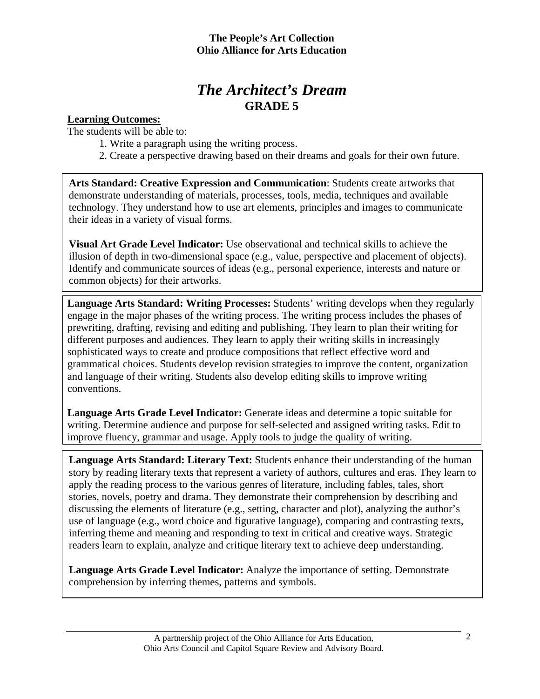# *The Architect's Dream*  **GRADE 5**

# **Learning Outcomes:**

The students will be able to:

- 1. Write a paragraph using the writing process.
- 2. Create a perspective drawing based on their dreams and goals for their own future.

**Arts Standard: Creative Expression and Communication**: Students create artworks that demonstrate understanding of materials, processes, tools, media, techniques and available technology. They understand how to use art elements, principles and images to communicate their ideas in a variety of visual forms.

**Visual Art Grade Level Indicator:** Use observational and technical skills to achieve the illusion of depth in two-dimensional space (e.g., value, perspective and placement of objects). Identify and communicate sources of ideas (e.g., personal experience, interests and nature or common objects) for their artworks.

**Language Arts Standard: Writing Processes:** Students' writing develops when they regularly engage in the major phases of the writing process. The writing process includes the phases of prewriting, drafting, revising and editing and publishing. They learn to plan their writing for different purposes and audiences. They learn to apply their writing skills in increasingly sophisticated ways to create and produce compositions that reflect effective word and grammatical choices. Students develop revision strategies to improve the content, organization and language of their writing. Students also develop editing skills to improve writing conventions.

**Language Arts Grade Level Indicator:** Generate ideas and determine a topic suitable for writing. Determine audience and purpose for self-selected and assigned writing tasks. Edit to improve fluency, grammar and usage. Apply tools to judge the quality of writing.

**Language Arts Standard: Literary Text:** Students enhance their understanding of the human story by reading literary texts that represent a variety of authors, cultures and eras. They learn to apply the reading process to the various genres of literature, including fables, tales, short stories, novels, poetry and drama. They demonstrate their comprehension by describing and discussing the elements of literature (e.g., setting, character and plot), analyzing the author's use of language (e.g., word choice and figurative language), comparing and contrasting texts, inferring theme and meaning and responding to text in critical and creative ways. Strategic readers learn to explain, analyze and critique literary text to achieve deep understanding.

**Language Arts Grade Level Indicator:** Analyze the importance of setting. Demonstrate comprehension by inferring themes, patterns and symbols.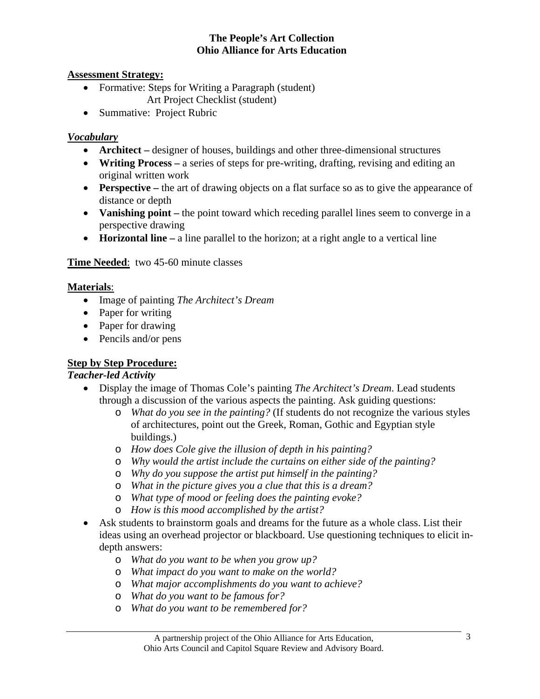### **Assessment Strategy:**

- Formative: Steps for Writing a Paragraph (student) Art Project Checklist (student)
- Summative: Project Rubric

# *Vocabulary*

- **Architect** designer of houses, buildings and other three-dimensional structures
- **Writing Process** a series of steps for pre-writing, drafting, revising and editing an original written work
- **Perspective** the art of drawing objects on a flat surface so as to give the appearance of distance or depth
- **Vanishing point** the point toward which receding parallel lines seem to converge in a perspective drawing
- **Horizontal line** a line parallel to the horizon; at a right angle to a vertical line

# **Time Needed**: two 45-60 minute classes

#### **Materials**:

- Image of painting *The Architect's Dream*
- Paper for writing
- Paper for drawing
- Pencils and/or pens

# **Step by Step Procedure:**

# *Teacher-led Activity*

- Display the image of Thomas Cole's painting *The Architect's Dream*. Lead students through a discussion of the various aspects the painting. Ask guiding questions:
	- o *What do you see in the painting?* (If students do not recognize the various styles of architectures, point out the Greek, Roman, Gothic and Egyptian style buildings.)
	- o *How does Cole give the illusion of depth in his painting?*
	- o *Why would the artist include the curtains on either side of the painting?*
	- o *Why do you suppose the artist put himself in the painting?*
	- o *What in the picture gives you a clue that this is a dream?*
	- o *What type of mood or feeling does the painting evoke?*
	- o *How is this mood accomplished by the artist?*
- Ask students to brainstorm goals and dreams for the future as a whole class. List their ideas using an overhead projector or blackboard. Use questioning techniques to elicit indepth answers:
	- o *What do you want to be when you grow up?*
	- o *What impact do you want to make on the world?*
	- o *What major accomplishments do you want to achieve?*
	- o *What do you want to be famous for?*
	- o *What do you want to be remembered for?*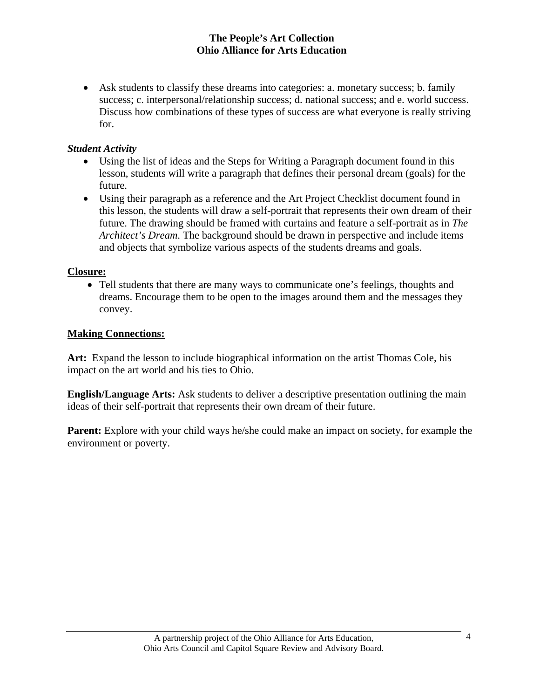• Ask students to classify these dreams into categories: a. monetary success; b. family success; c. interpersonal/relationship success; d. national success; and e. world success. Discuss how combinations of these types of success are what everyone is really striving for.

# *Student Activity*

- Using the list of ideas and the Steps for Writing a Paragraph document found in this lesson, students will write a paragraph that defines their personal dream (goals) for the future.
- Using their paragraph as a reference and the Art Project Checklist document found in this lesson, the students will draw a self-portrait that represents their own dream of their future. The drawing should be framed with curtains and feature a self-portrait as in *The Architect's Dream*. The background should be drawn in perspective and include items and objects that symbolize various aspects of the students dreams and goals.

# **Closure:**

• Tell students that there are many ways to communicate one's feelings, thoughts and dreams. Encourage them to be open to the images around them and the messages they convey.

# **Making Connections:**

Art: Expand the lesson to include biographical information on the artist Thomas Cole, his impact on the art world and his ties to Ohio.

**English/Language Arts:** Ask students to deliver a descriptive presentation outlining the main ideas of their self-portrait that represents their own dream of their future.

**Parent:** Explore with your child ways he/she could make an impact on society, for example the environment or poverty.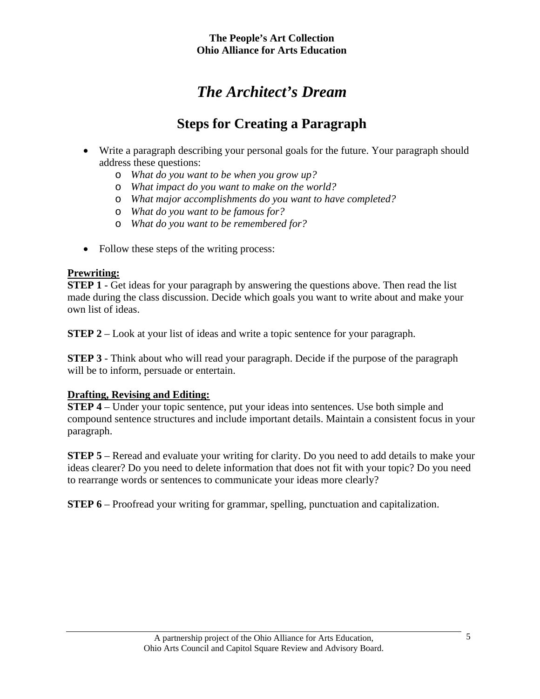# *The Architect's Dream*

# **Steps for Creating a Paragraph**

- Write a paragraph describing your personal goals for the future. Your paragraph should address these questions:
	- o *What do you want to be when you grow up?*
	- o *What impact do you want to make on the world?*
	- o *What major accomplishments do you want to have completed?*
	- o *What do you want to be famous for?*
	- o *What do you want to be remembered for?*
- Follow these steps of the writing process:

# **Prewriting:**

**STEP 1** - Get ideas for your paragraph by answering the questions above. Then read the list made during the class discussion. Decide which goals you want to write about and make your own list of ideas.

**STEP 2** – Look at your list of ideas and write a topic sentence for your paragraph.

**STEP 3** - Think about who will read your paragraph. Decide if the purpose of the paragraph will be to inform, persuade or entertain.

# **Drafting, Revising and Editing:**

**STEP 4** – Under your topic sentence, put your ideas into sentences. Use both simple and compound sentence structures and include important details. Maintain a consistent focus in your paragraph.

**STEP 5** – Reread and evaluate your writing for clarity. Do you need to add details to make your ideas clearer? Do you need to delete information that does not fit with your topic? Do you need to rearrange words or sentences to communicate your ideas more clearly?

**STEP 6** – Proofread your writing for grammar, spelling, punctuation and capitalization.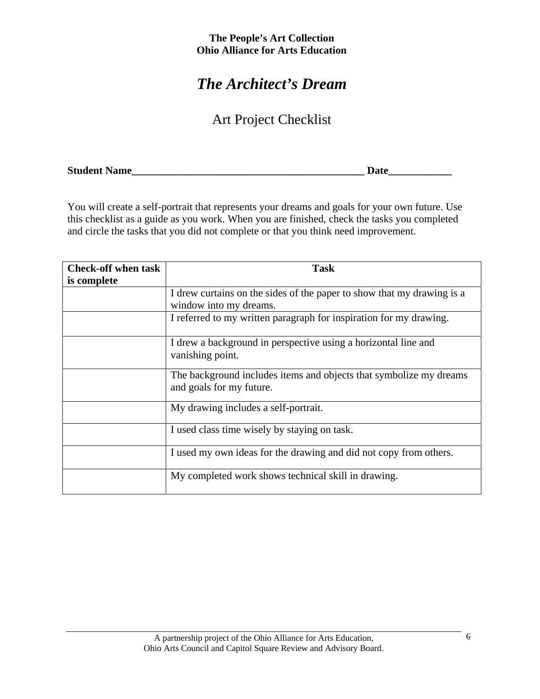# *The Architect's Dream*

# Art Project Checklist

| <b>Student Name</b> |
|---------------------|
|---------------------|

You will create a self-portrait that represents your dreams and goals for your own future. Use this checklist as a guide as you work. When you are finished, check the tasks you completed and circle the tasks that you did not complete or that you think need improvement.

| <b>Check-off when task</b><br>is complete | <b>Task</b>                                                                                      |
|-------------------------------------------|--------------------------------------------------------------------------------------------------|
|                                           | I drew curtains on the sides of the paper to show that my drawing is a<br>window into my dreams. |
|                                           | I referred to my written paragraph for inspiration for my drawing.                               |
|                                           | I drew a background in perspective using a horizontal line and<br>vanishing point.               |
|                                           | The background includes items and objects that symbolize my dreams<br>and goals for my future.   |
|                                           | My drawing includes a self-portrait.                                                             |
|                                           | I used class time wisely by staying on task.                                                     |
|                                           | I used my own ideas for the drawing and did not copy from others.                                |
|                                           | My completed work shows technical skill in drawing.                                              |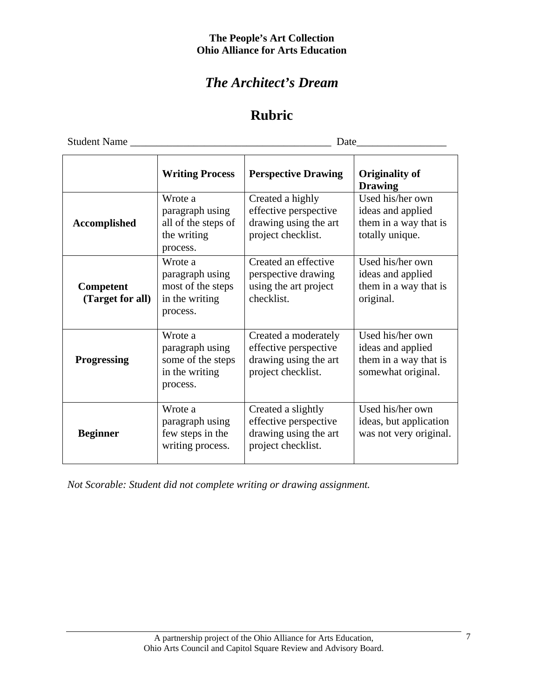# *The Architect's Dream*

# **Rubric**

Student Name \_\_\_\_\_\_\_\_\_\_\_\_\_\_\_\_\_\_\_\_\_\_\_\_\_\_\_\_\_\_\_\_\_\_\_\_\_\_ Date\_\_\_\_\_\_\_\_\_\_\_\_\_\_\_\_\_

|                               | <b>Writing Process</b>                                                        | <b>Perspective Drawing</b>                                                                   | <b>Originality of</b><br><b>Drawing</b>                                              |
|-------------------------------|-------------------------------------------------------------------------------|----------------------------------------------------------------------------------------------|--------------------------------------------------------------------------------------|
| <b>Accomplished</b>           | Wrote a<br>paragraph using<br>all of the steps of<br>the writing<br>process.  | Created a highly<br>effective perspective<br>drawing using the art<br>project checklist.     | Used his/her own<br>ideas and applied<br>them in a way that is<br>totally unique.    |
| Competent<br>(Target for all) | Wrote a<br>paragraph using<br>most of the steps<br>in the writing<br>process. | Created an effective<br>perspective drawing<br>using the art project<br>checklist.           | Used his/her own<br>ideas and applied<br>them in a way that is<br>original.          |
| <b>Progressing</b>            | Wrote a<br>paragraph using<br>some of the steps<br>in the writing<br>process. | Created a moderately<br>effective perspective<br>drawing using the art<br>project checklist. | Used his/her own<br>ideas and applied<br>them in a way that is<br>somewhat original. |
| <b>Beginner</b>               | Wrote a<br>paragraph using<br>few steps in the<br>writing process.            | Created a slightly<br>effective perspective<br>drawing using the art<br>project checklist.   | Used his/her own<br>ideas, but application<br>was not very original.                 |

*Not Scorable: Student did not complete writing or drawing assignment.*